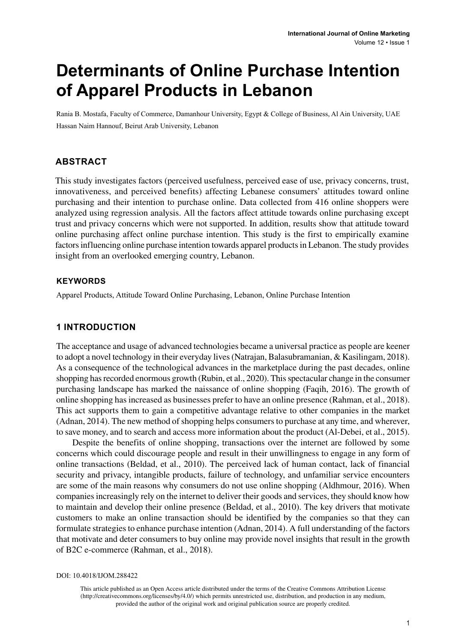# **Determinants of Online Purchase Intention of Apparel Products in Lebanon**

Rania B. Mostafa, Faculty of Commerce, Damanhour University, Egypt & College of Business, Al Ain University, UAE Hassan Naim Hannouf, Beirut Arab University, Lebanon

#### **ABSTRACT**

This study investigates factors (perceived usefulness, perceived ease of use, privacy concerns, trust, innovativeness, and perceived benefits) affecting Lebanese consumers' attitudes toward online purchasing and their intention to purchase online. Data collected from 416 online shoppers were analyzed using regression analysis. All the factors affect attitude towards online purchasing except trust and privacy concerns which were not supported. In addition, results show that attitude toward online purchasing affect online purchase intention. This study is the first to empirically examine factors influencing online purchase intention towards apparel products in Lebanon. The study provides insight from an overlooked emerging country, Lebanon.

#### **Keywords**

Apparel Products, Attitude Toward Online Purchasing, Lebanon, Online Purchase Intention

#### **1 INTRODUCTION**

The acceptance and usage of advanced technologies became a universal practice as people are keener to adopt a novel technology in their everyday lives (Natrajan, Balasubramanian, & Kasilingam, 2018). As a consequence of the technological advances in the marketplace during the past decades, online shopping has recorded enormous growth (Rubin, et al., 2020). This spectacular change in the consumer purchasing landscape has marked the naissance of online shopping (Faqih, 2016). The growth of online shopping has increased as businesses prefer to have an online presence (Rahman, et al., 2018). This act supports them to gain a competitive advantage relative to other companies in the market (Adnan, 2014). The new method of shopping helps consumers to purchase at any time, and wherever, to save money, and to search and access more information about the product (Al-Debei, et al., 2015).

Despite the benefits of online shopping, transactions over the internet are followed by some concerns which could discourage people and result in their unwillingness to engage in any form of online transactions (Beldad, et al., 2010). The perceived lack of human contact, lack of financial security and privacy, intangible products, failure of technology, and unfamiliar service encounters are some of the main reasons why consumers do not use online shopping (Aldhmour, 2016). When companies increasingly rely on the internet to deliver their goods and services, they should know how to maintain and develop their online presence (Beldad, et al., 2010). The key drivers that motivate customers to make an online transaction should be identified by the companies so that they can formulate strategies to enhance purchase intention (Adnan, 2014). A full understanding of the factors that motivate and deter consumers to buy online may provide novel insights that result in the growth of B2C e-commerce (Rahman, et al., 2018).

DOI: 10.4018/IJOM.288422

This article published as an Open Access article distributed under the terms of the Creative Commons Attribution License (http://creativecommons.org/licenses/by/4.0/) which permits unrestricted use, distribution, and production in any medium, provided the author of the original work and original publication source are properly credited.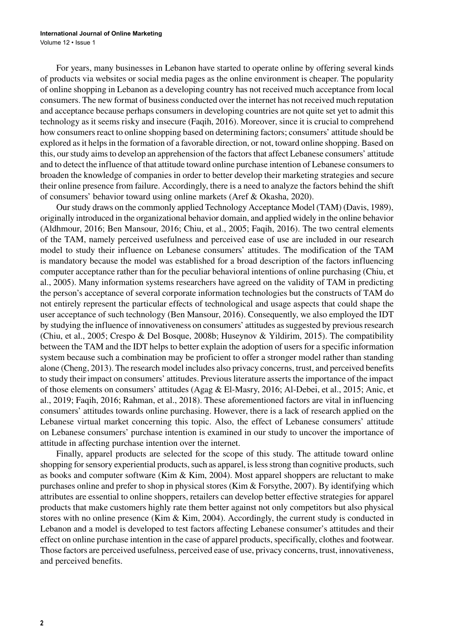Volume 12 • Issue 1

For years, many businesses in Lebanon have started to operate online by offering several kinds of products via websites or social media pages as the online environment is cheaper. The popularity of online shopping in Lebanon as a developing country has not received much acceptance from local consumers. The new format of business conducted over the internet has not received much reputation and acceptance because perhaps consumers in developing countries are not quite set yet to admit this technology as it seems risky and insecure (Faqih, 2016). Moreover, since it is crucial to comprehend how consumers react to online shopping based on determining factors; consumers' attitude should be explored as it helps in the formation of a favorable direction, or not, toward online shopping. Based on this, our study aims to develop an apprehension of the factors that affect Lebanese consumers' attitude and to detect the influence of that attitude toward online purchase intention of Lebanese consumers to broaden the knowledge of companies in order to better develop their marketing strategies and secure their online presence from failure. Accordingly, there is a need to analyze the factors behind the shift of consumers' behavior toward using online markets (Aref & Okasha, 2020).

Our study draws on the commonly applied Technology Acceptance Model (TAM) (Davis, 1989), originally introduced in the organizational behavior domain, and applied widely in the online behavior (Aldhmour, 2016; Ben Mansour, 2016; Chiu, et al., 2005; Faqih, 2016). The two central elements of the TAM, namely perceived usefulness and perceived ease of use are included in our research model to study their influence on Lebanese consumers' attitudes. The modification of the TAM is mandatory because the model was established for a broad description of the factors influencing computer acceptance rather than for the peculiar behavioral intentions of online purchasing (Chiu, et al., 2005). Many information systems researchers have agreed on the validity of TAM in predicting the person's acceptance of several corporate information technologies but the constructs of TAM do not entirely represent the particular effects of technological and usage aspects that could shape the user acceptance of such technology (Ben Mansour, 2016). Consequently, we also employed the IDT by studying the influence of innovativeness on consumers' attitudes as suggested by previous research (Chiu, et al., 2005; Crespo & Del Bosque, 2008b; Huseynov & Yildirim, 2015). The compatibility between the TAM and the IDT helps to better explain the adoption of users for a specific information system because such a combination may be proficient to offer a stronger model rather than standing alone (Cheng, 2013). The research model includes also privacy concerns, trust, and perceived benefits to study their impact on consumers' attitudes. Previous literature asserts the importance of the impact of those elements on consumers' attitudes (Agag & El-Masry, 2016; Al-Debei, et al., 2015; Anic, et al., 2019; Faqih, 2016; Rahman, et al., 2018). These aforementioned factors are vital in influencing consumers' attitudes towards online purchasing. However, there is a lack of research applied on the Lebanese virtual market concerning this topic. Also, the effect of Lebanese consumers' attitude on Lebanese consumers' purchase intention is examined in our study to uncover the importance of attitude in affecting purchase intention over the internet.

Finally, apparel products are selected for the scope of this study. The attitude toward online shopping for sensory experiential products, such as apparel, is less strong than cognitive products, such as books and computer software (Kim  $\&$  Kim, 2004). Most apparel shoppers are reluctant to make purchases online and prefer to shop in physical stores (Kim & Forsythe, 2007). By identifying which attributes are essential to online shoppers, retailers can develop better effective strategies for apparel products that make customers highly rate them better against not only competitors but also physical stores with no online presence (Kim & Kim, 2004). Accordingly, the current study is conducted in Lebanon and a model is developed to test factors affecting Lebanese consumer's attitudes and their effect on online purchase intention in the case of apparel products, specifically, clothes and footwear. Those factors are perceived usefulness, perceived ease of use, privacy concerns, trust, innovativeness, and perceived benefits.